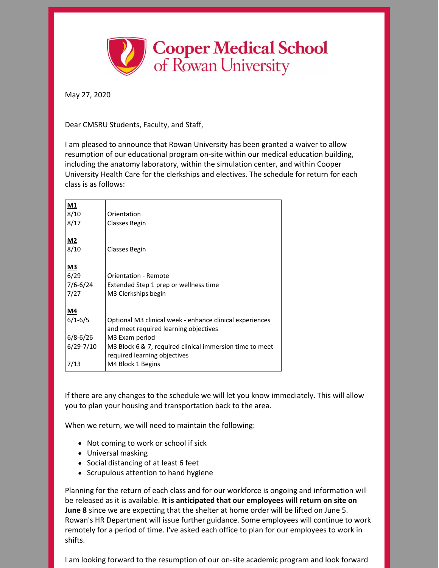

May 27, 2020

Dear CMSRU Students, Faculty, and Staff,

I am pleased to announce that Rowan University has been granted a waiver to allow resumption of our educational program on-site within our medical education building, including the anatomy laboratory, within the simulation center, and within Cooper University Health Care for the clerkships and electives. The schedule for return for each class is as follows:

| M1            |                                                          |
|---------------|----------------------------------------------------------|
| 8/10          | Orientation                                              |
| 8/17          | <b>Classes Begin</b>                                     |
|               |                                                          |
| $M2$          |                                                          |
| 8/10          | Classes Begin                                            |
|               |                                                          |
| <u>M3</u>     |                                                          |
| 6/29          | <b>Orientation - Remote</b>                              |
| $7/6 - 6/24$  | Extended Step 1 prep or wellness time                    |
| 7/27          | M3 Clerkships begin                                      |
|               |                                                          |
| M4            |                                                          |
| $6/1 - 6/5$   | Optional M3 clinical week - enhance clinical experiences |
|               | and meet required learning objectives                    |
| $6/8 - 6/26$  | M3 Exam period                                           |
| $6/29 - 7/10$ | M3 Block 6 & 7, required clinical immersion time to meet |
|               | required learning objectives                             |
| 7/13          | M4 Block 1 Begins                                        |

If there are any changes to the schedule we will let you know immediately. This will allow you to plan your housing and transportation back to the area.

When we return, we will need to maintain the following:

- Not coming to work or school if sick
- Universal masking
- Social distancing of at least 6 feet
- Scrupulous attention to hand hygiene

Planning for the return of each class and for our workforce is ongoing and information will be released as it is available. **It is anticipated that our employees will return on site on June 8** since we are expecting that the shelter at home order will be lifted on June 5. Rowan's HR Department will issue further guidance. Some employees will continue to work remotely for a period of time. I've asked each office to plan for our employees to work in shifts.

I am looking forward to the resumption of our on-site academic program and look forward